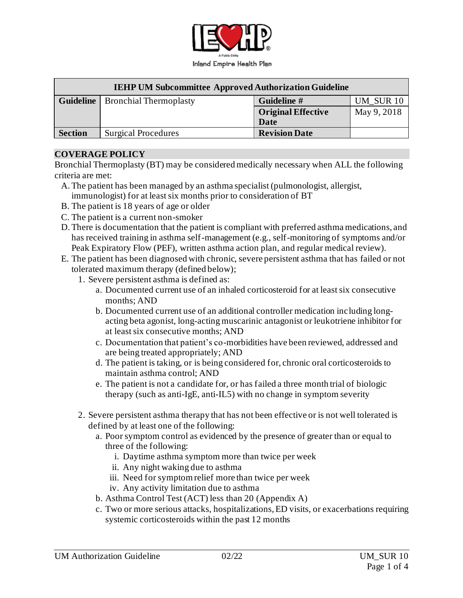

| <b>IEHP UM Subcommittee Approved Authorization Guideline</b> |                                           |                           |             |
|--------------------------------------------------------------|-------------------------------------------|---------------------------|-------------|
|                                                              | <b>Guideline</b>   Bronchial Thermoplasty | Guideline #               | UM SUR 10   |
|                                                              |                                           | <b>Original Effective</b> | May 9, 2018 |
|                                                              |                                           | Date                      |             |
| <b>Section</b>                                               | <b>Surgical Procedures</b>                | <b>Revision Date</b>      |             |

#### **COVERAGE POLICY**

Bronchial Thermoplasty (BT) may be considered medically necessary when ALL the following criteria are met:

- A.The patient has been managed by an asthma specialist (pulmonologist, allergist, immunologist) for at least six months prior to consideration of BT
- B. The patient is 18 years of age or older
- C. The patient is a current non-smoker
- D.There is documentation that the patient is compliant with preferred asthma medications, and has received training in asthma self-management (e.g., self-monitoring of symptoms and/or Peak Expiratory Flow (PEF), written asthma action plan, and regular medical review).
- E. The patient has been diagnosed with chronic, severe persistent asthma that has failed or not tolerated maximum therapy (defined below);
	- 1. Severe persistent asthma is defined as:
		- a. Documented current use of an inhaled corticosteroid for at least six consecutive months; AND
		- b. Documented current use of an additional controller medication including longacting beta agonist, long-acting muscarinic antagonist or leukotriene inhibitor for at least six consecutive months; AND
		- c. Documentation that patient's co-morbidities have been reviewed, addressed and are being treated appropriately; AND
		- d. The patient is taking, or is being considered for, chronic oral corticosteroids to maintain asthma control; AND
		- e. The patient is not a candidate for, or has failed a three month trial of biologic therapy (such as anti-IgE, anti-IL5) with no change in symptom severity
	- 2. Severe persistent asthma therapy that has not been effective or is not well tolerated is defined by at least one of the following:
		- a. Poor symptom control as evidenced by the presence of greater than or equal to three of the following:
			- i. Daytime asthma symptom more than twice per week
			- ii. Any night waking due to asthma
			- iii. Need for symptom relief more than twice per week
			- iv. Any activity limitation due to asthma
		- b. Asthma Control Test (ACT) less than 20 (Appendix A)
		- c. Two or more serious attacks, hospitalizations, ED visits, or exacerbations requiring systemic corticosteroids within the past 12 months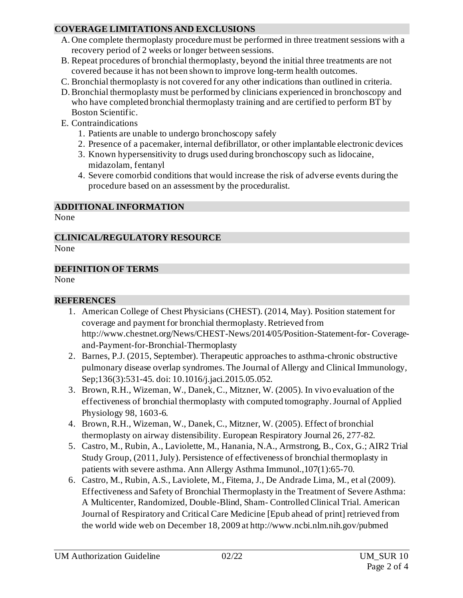### **COVERAGE LIMITATIONS AND EXCLUSIONS**

- A. One complete thermoplasty procedure must be performed in three treatment sessions with a recovery period of 2 weeks or longer between sessions.
- B. Repeat procedures of bronchial thermoplasty, beyond the initial three treatments are not covered because it has not been shown to improve long-term health outcomes.
- C. Bronchial thermoplasty is not covered for any other indications than outlined in criteria.
- D.Bronchial thermoplasty must be performed by clinicians experienced in bronchoscopy and who have completed bronchial thermoplasty training and are certified to perform BT by Boston Scientific.
- E. Contraindications
	- 1. Patients are unable to undergo bronchoscopy safely
	- 2. Presence of a pacemaker, internal defibrillator, or other implantable electronic devices
	- 3. Known hypersensitivity to drugs used during bronchoscopy such as lidocaine, midazolam, fentanyl
	- 4. Severe comorbid conditions that would increase the risk of adverse events during the procedure based on an assessment by the proceduralist.

# **ADDITIONAL INFORMATION**

None

# **CLINICAL/REGULATORY RESOURCE**

None

### **DEFINITION OF TERMS**

None

## **REFERENCES**

- 1. American College of Chest Physicians (CHEST). (2014, May). Position statement for coverage and payment for bronchial thermoplasty. Retrieved from <http://www.chestnet.org/News/CHEST-News/2014/05/Position-Statement-for-> Coverageand-Payment-for-Bronchial-Thermoplasty
- 2. Barnes, P.J. (2015, September). Therapeutic approaches to asthma-chronic obstructive pulmonary disease overlap syndromes. The Journal of Allergy and Clinical Immunology, Sep;136(3):531-45. doi: 10.1016/j.jaci.2015.05.052.
- 3. Brown, R.H., Wizeman, W., Danek, C., Mitzner, W. (2005). In vivo evaluation of the effectiveness of bronchial thermoplasty with computed tomography. Journal of Applied Physiology 98, 1603-6.
- 4. Brown, R.H., Wizeman, W., Danek, C., Mitzner, W. (2005). Effect of bronchial thermoplasty on airway distensibility. European Respiratory Journal 26, 277-82.
- 5. Castro, M., Rubin, A., Laviolette, M., Hanania, N.A., Armstrong, B., Cox, G.; AIR2 Trial Study Group, (2011, July). Persistence of effectiveness of bronchial thermoplasty in patients with severe asthma. Ann Allergy Asthma Immunol.,107(1):65-70.
- 6. Castro, M., Rubin, A.S., Laviolete, M., Fitema, J., De Andrade Lima, M., et al (2009). Effectiveness and Safety of Bronchial Thermoplasty in the Treatment of Severe Asthma: A Multicenter, Randomized, Double-Blind, Sham- Controlled Clinical Trial. American Journal of Respiratory and Critical Care Medicine [Epub ahead of print] retrieved from the world wide web on December 18, 2009 at http://www.ncbi.nlm.nih.gov/pubmed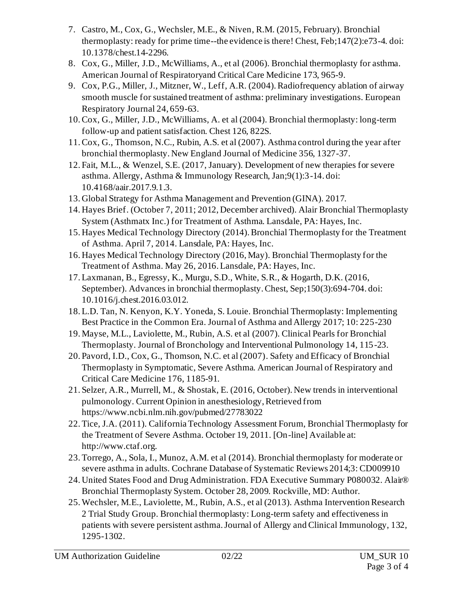- 7. Castro, M., Cox, G., Wechsler, M.E., & Niven, R.M. (2015, February). Bronchial thermoplasty: ready for prime time--the evidence is there! Chest, Feb;147(2):e73-4. doi: 10.1378/chest.14-2296.
- 8. Cox, G., Miller, J.D., McWilliams, A., et al (2006). Bronchial thermoplasty for asthma. American Journal of Respiratoryand Critical Care Medicine 173, 965-9.
- 9. Cox, P.G., Miller, J., Mitzner, W., Leff, A.R. (2004). Radiofrequency ablation of airway smooth muscle for sustained treatment of asthma: preliminary investigations. European Respiratory Journal 24, 659-63.
- 10.Cox, G., Miller, J.D., McWilliams, A. et al (2004). Bronchial thermoplasty: long-term follow-up and patient satisfaction. Chest 126, 822S.
- 11.Cox, G., Thomson, N.C., Rubin, A.S. et al (2007). Asthma control during the year after bronchial thermoplasty. New England Journal of Medicine 356, 1327-37.
- 12. Fait, M.L., & Wenzel, S.E. (2017, January). Development of new therapies for severe asthma. Allergy, Asthma & Immunology Research, Jan;9(1):3-14. doi: 10.4168/aair.2017.9.1.3.
- 13. Global Strategy for Asthma Management and Prevention (GINA). 2017.
- 14. Hayes Brief. (October 7, 2011; 2012, December archived). Alair Bronchial Thermoplasty System (Asthmatx Inc.) for Treatment of Asthma. Lansdale, PA: Hayes, Inc.
- 15. Hayes Medical Technology Directory (2014). Bronchial Thermoplasty for the Treatment of Asthma. April 7, 2014. Lansdale, PA: Hayes, Inc.
- 16. Hayes Medical Technology Directory (2016, May). Bronchial Thermoplasty for the Treatment of Asthma. May 26, 2016. Lansdale, PA: Hayes, Inc.
- 17.Laxmanan, B., Egressy, K., Murgu, S.D., White, S.R., & Hogarth, D.K. (2016, September). Advances in bronchial thermoplasty. Chest, Sep;150(3):694-704. doi: 10.1016/j.chest.2016.03.012.
- 18.L.D. Tan, N. Kenyon, K.Y. Yoneda, S. Louie. Bronchial Thermoplasty: Implementing Best Practice in the Common Era. Journal of Asthma and Allergy 2017; 10: 225-230
- 19. Mayse, M.L., Laviolette, M., Rubin, A.S. et al (2007). Clinical Pearls for Bronchial Thermoplasty. Journal of Bronchology and Interventional Pulmonology 14, 115-23.
- 20. Pavord, I.D., Cox, G., Thomson, N.C. et al (2007). Safety and Efficacy of Bronchial Thermoplasty in Symptomatic, Severe Asthma. American Journal of Respiratory and Critical Care Medicine 176, 1185-91.
- 21. Selzer, A.R., Murrell, M., & Shostak, E. (2016, October). New trends in interventional pulmonology. Current Opinion in anesthesiology, Retrieved from https://www.ncbi.nlm.nih.gov/pubmed/27783022
- 22.Tice, J.A. (2011). California Technology Assessment Forum, Bronchial Thermoplasty for the Treatment of Severe Asthma. October 19, 2011. [On-line] Available at: http://www.ctaf.org.
- 23.Torrego, A., Sola, I., Munoz, A.M. et al (2014). Bronchial thermoplasty for moderate or severe asthma in adults. Cochrane Database of Systematic Reviews 2014;3: CD009910
- 24. United States Food and Drug Administration. FDA Executive Summary P080032. Alair® Bronchial Thermoplasty System. October 28, 2009. Rockville, MD: Author.
- 25.Wechsler, M.E., Laviolette, M., Rubin, A.S., et al (2013). Asthma Intervention Research 2 Trial Study Group. Bronchial thermoplasty: Long-term safety and effectiveness in patients with severe persistent asthma. Journal of Allergy and Clinical Immunology, 132, 1295-1302.